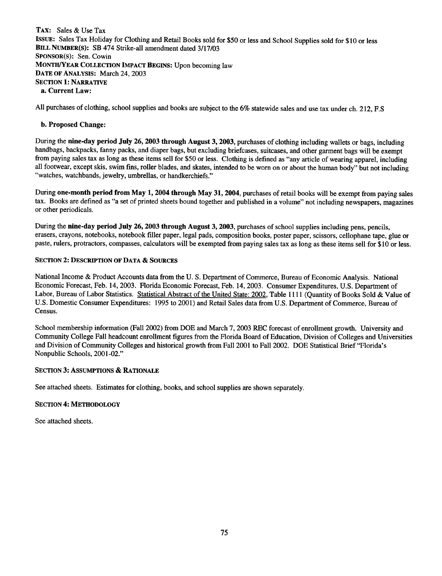TAX: Sales & Use Tax IsSUE: Sales Tax Holiday for Clothing and Retail Books sold for \$50 or less and School Supplies sold for \$10 or less BILL NUMBER(S): SB 474 Strike-all amendment dated 3/17/03 SPONSOR(S): Sen. Cowin MONTH/YEAR COLLECTION IMPACT BEGINS: Upon becoming law DATE OF ANALYSIS: March 24, 2003 SECTION I: NARRATIVE a. Current Law:

All purchases of clothing, school supplies and books are subject to the 6% statewide sales and use tax under ch. 212, F.S

## b. Proposed Change:

During the nine-day period July 26, 2003 through August 3, 2003, purchases of clothing including wallets or bags, including handbags, backpacks, fanny packs, and diaper bags, but excluding briefcases, suitcases, and other garment bags will be exempt from paying sales tax as long as these items sell for \$50 or less. Clothing is defined as "any article of wearing apparel, including all footwear, except skis, swim fins, roller blades, and skates, intended to be worn on or about the human body" but not including "watches, watchbands, jewelry, umbrellas, or handkerchiefs."

During one-month period from May 1, 2004 through May 31, 2004, purchases of retail books will be exempt from paying sales tax. Books are defined as "a set of printed sheets bound together and published in a volume" not including newspapers, magazines or other periodicals.

During the nine-day period July 26, 2003 through August 3, 2003, purchases of school supplies including pens, pencils, erasers, crayons, notebooks, notebook filler paper, legal pads, composition books, poster paper, scissors, cellophane tape, glue or paste, rulers, protractors, compasses, calculators will be exempted from paying sales tax as long as these items sell for \$10 or less.

## SECTION 2: DESCRIPTION OF DATA & SOURCES

National Income & Product Accounts data from the U. S. Department of Commerce, Bureau of Economic Analysis. National Economic Forecast, Feb. 14,2003. Florida Economic Forecast, Feb. 14,2003. Consumer Expenditures, U.S. Department of Labor, Bureau of Labor Statistics. Statistical Abstract of the United State: 2002, Table 1111 (Quantity of Books Sold & Value of U.S. Domestic Consumer Expenditures: 1995 to 2001) and Retail Sales data from U.S. Department of Commerce, Bureau of Census.

School membership information (Fall 2002) from DOE and March 7, 2003 REC forecast of enrollment growth, University and Community College Fall headcount enrollment figures from the Florida Board of Education, Division of Colleges and Universities and Division of Community Colleges and historical growth from Fall 2001 to Fall 2002, DOE Statistical Brief "Florida's Nonpublic Schools, 2001-02,"

## SECTION 3: ASSUMPTIONS & RATIONALE

See attached sheets. Estimates for clothing, books, and school supplies are shown separately.

## SECTION 4: METHODOLOGY

See attached sheets.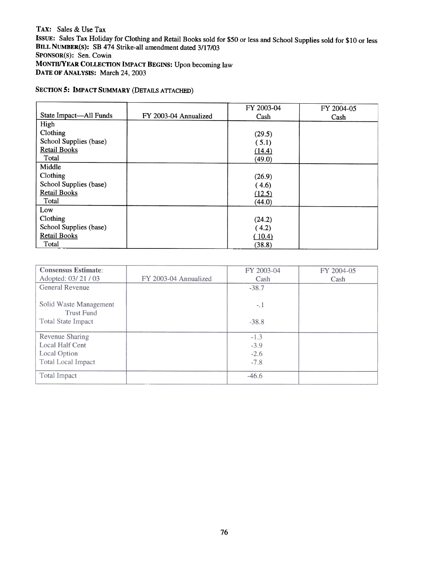TAX: Sales & Use Tax ISSUE: Sales Tax Holiday for Clothing and Retail Books sold for \$50 or less and School Supplies sold for \$10 or less BILL NUMBER(S): SB 474 Strike-all amendment dated 3/17/03 SPONSOR(S): Sen. Cowin MONTH/YEAR COLLECTION IMPACT BEGINS: Upon becoming law DATE OF ANALYSIS: March 24, 2003

# SECTION 5: IMPACT SUMMARY (DETAILS ATTACHED)

|                        |                       | FY 2003-04 | FY 2004-05 |
|------------------------|-----------------------|------------|------------|
| State Impact—All Funds | FY 2003-04 Annualized | Cash       | Cash       |
| High                   |                       |            |            |
| Clothing               |                       | (29.5)     |            |
| School Supplies (base) |                       | (5.1)      |            |
| <b>Retail Books</b>    |                       | (14.4)     |            |
| Total                  |                       | (49.0)     |            |
| Middle                 |                       |            |            |
| Clothing               |                       | (26.9)     |            |
| School Supplies (base) |                       | (4.6)      |            |
| <b>Retail Books</b>    |                       | (12.5)     |            |
| Total                  |                       | (44.0)     |            |
| Low                    |                       |            |            |
| Clothing               |                       | (24.2)     |            |
| School Supplies (base) |                       | (4.2)      |            |
| <b>Retail Books</b>    |                       | (10.4)     |            |
| Total                  |                       | (38.8)     |            |

| <b>Consensus Estimate:</b> |                       | FY 2003-04 | FY 2004-05 |
|----------------------------|-----------------------|------------|------------|
| Adopted: 03/21/03          | FY 2003-04 Annualized | Cash       | Cash       |
| General Revenue            |                       | $-38.7$    |            |
|                            |                       |            |            |
| Solid Waste Management     |                       | $-.1$      |            |
| Trust Fund                 |                       |            |            |
| Total State Impact         |                       | $-38.8$    |            |
|                            |                       |            |            |
| Revenue Sharing            |                       | $-1.3$     |            |
| Local Half Cent            |                       | $-3.9$     |            |
| Local Option               |                       | $-2.6$     |            |
| Total Local Impact         |                       | $-7.8$     |            |
|                            |                       |            |            |
| Total Impact               |                       | $-46.6$    |            |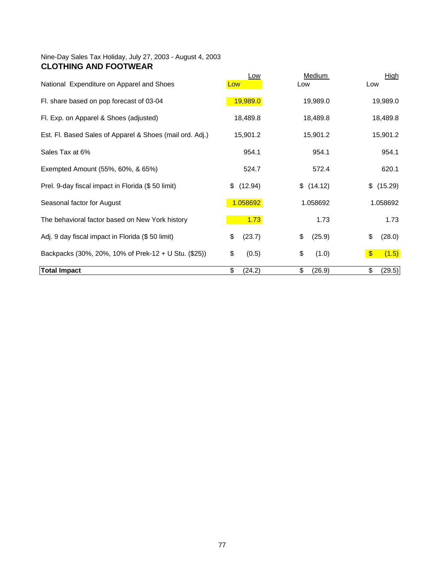## Nine-Day Sales Tax Holiday, July 27, 2003 - August 4, 2003 **CLOTHING AND FOOTWEAR**

| National Expenditure on Apparel and Shoes                | <u>Low</u><br>Low | <b>Medium</b><br>Low | <b>High</b><br>Low               |
|----------------------------------------------------------|-------------------|----------------------|----------------------------------|
| Fl. share based on pop forecast of 03-04                 | 19,989.0          | 19,989.0             | 19,989.0                         |
| Fl. Exp. on Apparel & Shoes (adjusted)                   | 18,489.8          | 18,489.8             | 18,489.8                         |
| Est. Fl. Based Sales of Apparel & Shoes (mail ord. Adj.) | 15,901.2          | 15,901.2             | 15,901.2                         |
| Sales Tax at 6%                                          | 954.1             | 954.1                | 954.1                            |
| Exempted Amount (55%, 60%, & 65%)                        | 524.7             | 572.4                | 620.1                            |
| Prel. 9-day fiscal impact in Florida (\$50 limit)        | (12.94)<br>\$     | \$(14.12)            | \$ (15.29)                       |
| Seasonal factor for August                               | 1.058692          | 1.058692             | 1.058692                         |
| The behavioral factor based on New York history          | 1.73              | 1.73                 | 1.73                             |
| Adj. 9 day fiscal impact in Florida (\$50 limit)         | \$<br>(23.7)      | \$<br>(25.9)         | \$<br>(28.0)                     |
| Backpacks (30%, 20%, 10% of Prek-12 + U Stu. (\$25))     | \$<br>(0.5)       | \$<br>(1.0)          | $\sqrt[6]{\frac{1}{2}}$<br>(1.5) |
| <b>Total Impact</b>                                      | \$<br>(24.2)      | \$<br>(26.9)         | \$<br>(29.5)                     |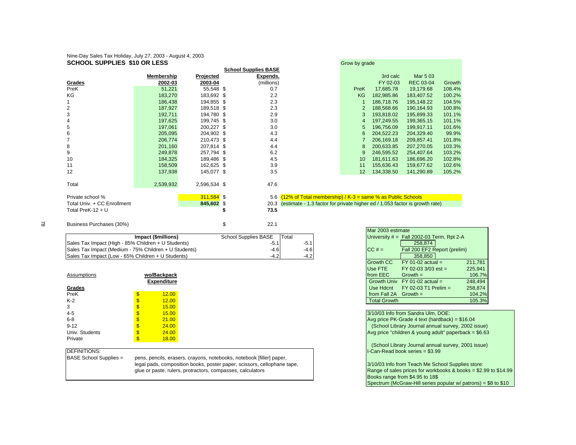#### Nine-Day Sales Tax Holiday, July 27, 2003 - August 4, 2003 **SCHOOL SUPPLIES \$10 OR LESS** Grow by grade and set of the set of the set of the set of the set of the set of the set of the set of the set of the set of the set of the set of the set of the set of the set of the set of th

|                             |            |              | <b>School Supplies BASE</b> |                                                                                  |                |            |                  |        |
|-----------------------------|------------|--------------|-----------------------------|----------------------------------------------------------------------------------|----------------|------------|------------------|--------|
|                             | Membership | Projected    | Expends.                    |                                                                                  |                | 3rd calc   | Mar 5 03         |        |
| Grades                      | 2002-03    | 2003-04      | (millions)                  |                                                                                  |                | FY 02-03   | <b>REC 03-04</b> | Growth |
| PreK                        | 51,221     | 55,548 \$    | 0.7                         |                                                                                  | PreK           | 17,685.78  | 19,179.68        | 108.4% |
| ΚG                          | 183,270    | 183,692 \$   | 2.2                         |                                                                                  | KG             | 182,985.86 | 183,407.52       | 100.2% |
|                             | 186,438    | 194,855 \$   | 2.3                         |                                                                                  |                | 186,718.76 | 195,148.22       | 104.5% |
| 2                           | 187,927    | 189,518 \$   | 2.3                         |                                                                                  | $\overline{2}$ | 188,568.66 | 190,164.93       | 100.8% |
| 3                           | 192,711    | 194,780 \$   | 2.9                         |                                                                                  | 3              | 193,818.02 | 195,899.33       | 101.1% |
|                             | 197,625    | 199,745 \$   | 3.0                         |                                                                                  | 4              | 197,249.55 | 199,365.15       | 101.1% |
| 5                           | 197,061    | 200,227 \$   | 3.0                         |                                                                                  | 5              | 196,756.09 | 199,917.11       | 101.6% |
| 6                           | 205,095    | 204,902 \$   | 4.3                         |                                                                                  | 6              | 204,522.23 | 204,329.40       | 99.9%  |
|                             | 206,774    | 210,473 \$   | 4.4                         |                                                                                  |                | 206,169.18 | 209,857.41       | 101.8% |
| 8                           | 201,160    | 207,814 \$   | 4.4                         |                                                                                  | 8              | 200,633.85 | 207,270.05       | 103.3% |
| 9                           | 249,878    | 257,794 \$   | 6.2                         |                                                                                  | 9              | 246,595.52 | 254,407.64       | 103.2% |
| 10                          | 184,325    | 189,486 \$   | 4.5                         |                                                                                  | 10             | 181,611.63 | 186,696.20       | 102.8% |
| 11                          | 158,509    | 162,625 \$   | 3.9                         |                                                                                  | 11             | 155,636.43 | 159,677.62       | 102.6% |
| 12                          | 137,938    | 145,077 \$   | 3.5                         |                                                                                  | 12             | 134,338.50 | 141,290.89       | 105.2% |
|                             |            |              |                             |                                                                                  |                |            |                  |        |
| Total                       | 2,539,932  | 2,596,534 \$ | 47.6                        |                                                                                  |                |            |                  |        |
|                             |            |              |                             |                                                                                  |                |            |                  |        |
| Private school %            |            | $311,584$ \$ |                             | 5.6 $(12\% \text{ of Total membership})/K-3 = \text{same } \%$ as Public Schools |                |            |                  |        |
| Total Univ. + CC Enrollment |            | 845,602 \$   | 20.3                        | (estimate - 1.3 factor for private higher ed / 1.053 factor is growth rate)      |                |            |                  |        |
| Total PreK-12 + $U$         |            |              | 73.5                        |                                                                                  |                |            |                  |        |
|                             |            |              |                             |                                                                                  |                |            |                  |        |

|            | Grow by grade   |            |                  |        |
|------------|-----------------|------------|------------------|--------|
| ies BASE   |                 |            |                  |        |
| Expends.   |                 | 3rd calc   | Mar 5 03         |        |
| (millions) |                 | FY 02-03   | <b>REC 03-04</b> | Growth |
| 0.7        | PreK            | 17,685.78  | 19,179.68        | 108.4% |
| 2.2        | <b>KG</b>       | 182.985.86 | 183.407.52       | 100.2% |
| 2.3        | 1               | 186,718.76 | 195.148.22       | 104.5% |
| 2.3        | 2               | 188,568.66 | 190.164.93       | 100.8% |
| 2.9        | 3               | 193.818.02 | 195.899.33       | 101.1% |
| 3.0        | $\overline{4}$  | 197,249.55 | 199,365.15       | 101.1% |
| 3.0        | 5               | 196.756.09 | 199.917.11       | 101.6% |
| 4.3        | 6               | 204,522.23 | 204.329.40       | 99.9%  |
| 4.4        | $\overline{7}$  | 206.169.18 | 209,857.41       | 101.8% |
| 4.4        | 8               | 200.633.85 | 207.270.05       | 103.3% |
| 6.2        | 9               | 246,595.52 | 254,407.64       | 103.2% |
| 4.5        | 10 <sup>1</sup> | 181,611.63 | 186,696.20       | 102.8% |
| 3.9        | 11              | 155,636.43 | 159.677.62       | 102.6% |
| 3.5        | 12 <sup>2</sup> | 134.338.50 | 141.290.89       | 105.2% |
|            |                 |            |                  |        |

|                                                       |                      |        | Mar 2003 estimate |                                             |
|-------------------------------------------------------|----------------------|--------|-------------------|---------------------------------------------|
| Impact (\$millions)                                   | School Supplies BASE | Total  |                   | University $#$ = Fall 2002-03 Term, Rpt 2-A |
| Sales Tax Impact (High - 85% Children + U Students)   |                      |        |                   | 258.874                                     |
| Sales Tax Impact (Medium - 75% Children + U Students) | $-4.6$               | $-4.6$ | $CC#=$            | Fall 200 EF2 Report (prelim)                |
| Sales Tax Impact (Low - 65% Children + U Students)    | $-4.2$               | $-4.2$ |                   | 358,850                                     |

Business Purchases (30%) \$ 22.1

|                |                    | ----<br>$1 - 1 - 0 = 0$ . $0 = 0$ . $0 = 0$          | ———————— |
|----------------|--------------------|------------------------------------------------------|----------|
| Assumptions    | wo/Backpack        | from EEC<br>$Growth =$                               | 106.7%   |
|                | <b>Expenditure</b> | Growth Univ $FY$ 01-02 actual =                      | 248.494  |
| Grades         |                    | $FY$ 02-03 T1 Prelim =<br>Use Hdcnt                  | 258.874  |
| PreK           | 12.00              | from Fall 2A Growth =                                | 104.2%   |
| $K-2$          | 12.00              | <b>Total Growth</b>                                  | 105.3%   |
| 3              | 15.00              |                                                      |          |
| 4-5            | 15.00              | 3/10/03 Info from Sandra Ulm, DOE:                   |          |
| $6 - 8$        | 21.00              | Avg price PK-Grade 4 text (hardback) = $$16.04$      |          |
| $9 - 12$       | 24.00              | (School Library Journal annual survey, 2002 issue)   |          |
| Univ. Students | 24.00              | Avg price "children & young adult" paperback = \$6.6 |          |
| Private        | 18.00              |                                                      |          |

BASE School Supplies = pens, pencils, erasers, crayons, notebooks, notebook [filler] paper, legal pads, composition books, poster paper, scissors, cellophane tape,

|                       |                      |        | Mar 2003 estimate       |                                             |         |
|-----------------------|----------------------|--------|-------------------------|---------------------------------------------|---------|
| ct (\$millions)       | School Supplies BASE | Total  |                         | University $#$ = Fall 2002-03 Term, Rpt 2-A |         |
| Iren + U Students)    | -5.1                 | $-5.1$ |                         | 258.874                                     |         |
| hildren + U Students) | $-4.6$               | $-4.6$ | $CC # =$                | Fall 200 EF2 Report (prelim)                |         |
| ren + U Students)     | $-4.2$               | $-4.2$ |                         | 358,850                                     |         |
|                       |                      |        | <b>Growth CC</b>        | $FY$ 01-02 actual =                         | 211,781 |
|                       |                      |        | Use FTE                 | FY 02-03 3/03 est =                         | 225.941 |
| o/Backpack            |                      |        | from EEC                | $Growth =$                                  | 106.7%  |
| <b>Expenditure</b>    |                      |        | Growth Univ             | $FY$ 01-02 actual =                         | 248.494 |
|                       |                      |        | Use Hdcnt               | $FY$ 02-03 T1 Prelim =                      | 258,874 |
| 12.00                 |                      |        | from Fall 2A Growth $=$ |                                             | 104.2%  |
| 12.00                 |                      |        | <b>Total Growth</b>     |                                             | 105.3%  |

3/10/03 Info from Sandra Ulm, DOE: Avg price PK-Grade 4 text (hardback) =  $$16.04$ (School Library Journal annual survey, 2002 issue) Avg price "children & young adult" paperback =  $$6.63$  (School Library Journal annual survey, 2001 issue) DEFINITIONS: I-Can-Read book series = \$3.99 glue or paste, rulers, protractors, compasses, calculators and the school supplies for workbooks & books = \$2.99 to \$14.99 degree of sales prices for workbooks & books = \$2.99 to \$14.99 Books range from \$4.95 to 18\$ Spectrum (McGraw-Hill series popular w/ patrons) =  $$8$  to  $$10$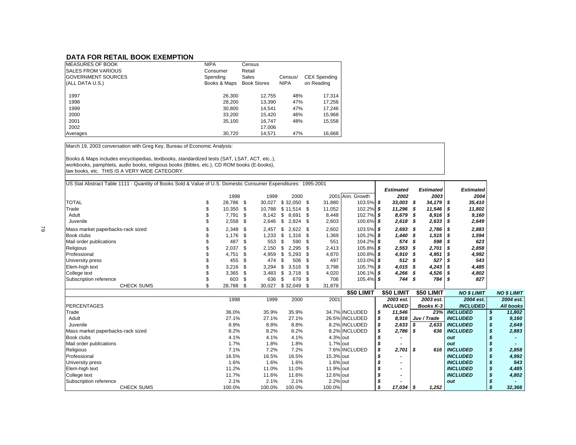### **DATA FOR RETAIL BOOK EXEMPTION**

| <b>IMEASURES OF BOOK</b>   | <b>NIPA</b>  | Census             |             |                     |
|----------------------------|--------------|--------------------|-------------|---------------------|
| <b>SALES FROM VARIOUS</b>  | Consumer     | Retail             |             |                     |
| <b>IGOVERNMENT SOURCES</b> | Spending     | Sales              | Census/     | <b>CEX Spending</b> |
| (ALL DATA U.S.)            | Books & Maps | <b>Book Stores</b> | <b>NIPA</b> | on Reading          |
| 1997                       | 26,300       | 12.755             | 48%         | 17.314              |
| 1998                       | 28,200       | 13.390             | 47%         | 17,256              |
| 1999                       | 30,800       | 14.541             | 47%         | 17,246              |
| 2000                       | 33.200       | 15.420             | 46%         | 15,968              |
| 2001                       | 35.100       | 16.747             | 48%         | 15,558              |
| 2002                       |              | 17.006             |             |                     |
| Averages                   | 30,720       | 14,571             | 47%         | 16,668              |

March 19, 2003 conversation with Greg Key, Bureau of Economic Analysis:

Books & Maps includes encyclopedias, textbooks, standardized tests (SAT, LSAT, ACT, etc..), workbooks, pamphlets, audio books, religious books (Bibles, etc.), CD ROM books (E-books), law books, etc. THIS IS A VERY WIDE CATEGORY.

| US Stat Abstract Table 1111 - Quantity of Books Sold & Value of U.S. Domestic Consumer Expenditures: 1995-2001 |                      |        |                    |           |                  |                  |                  |                    |    |                    |
|----------------------------------------------------------------------------------------------------------------|----------------------|--------|--------------------|-----------|------------------|------------------|------------------|--------------------|----|--------------------|
|                                                                                                                |                      |        |                    |           |                  | <b>Estimated</b> | <b>Estimated</b> | <b>Estimated</b>   |    |                    |
|                                                                                                                | 1998                 | 1999   | 2000               |           | 2001 Ann. Growth | 2002             | 2003             | 2004               |    |                    |
| <b>TOTAL</b>                                                                                                   | \$<br>28,786 \$      | 30,027 | $$32,050$ \$       | 31,880    | 103.5% \$        | 33,003           | - \$<br>34,179   | 35,410<br>-\$      |    |                    |
| Trade                                                                                                          | 10,350 \$            | 10,788 | $$11,514$ \$       | 11,052    | 102.2% \$        | 11,296           | 11,546<br>- \$   | -\$<br>11,802      |    |                    |
| Adult                                                                                                          | 7,791<br><b>S</b>    | 8,142  | - \$<br>8.691 \$   | 8,448     | 102.7% \$        | 8,679            | 8,916<br>-\$     | 9,160<br>-\$       |    |                    |
| Juvenile                                                                                                       | 2,558<br>- \$        | 2,646  | - \$<br>$2,824$ \$ | 2,603     | $100.6\%$ \$     | 2,618            | 2,633<br>- \$    | 2,649<br>-\$       |    |                    |
| Mass market paperbacks-rack sized                                                                              | 2,348 \$             | 2,457  | \$<br>$2,622$ \$   | 2,602     | 103.5% \$        | 2,693            | 2,786<br>-\$     | 2,883<br>- \$      |    |                    |
| Book clubs                                                                                                     | \$<br>1,176          | 1,233  | \$<br>$1,316$ \$   | 1,369     | 105.2% \$        | 1,440            | 1,515<br>- \$    | 1,594<br>- \$      |    |                    |
| Mail order publications                                                                                        | 487<br>-\$           | 553    | 590 \$<br>\$       | 551       | 104.2% \$        | 574              | 598<br>\$        | 623                |    |                    |
| Religious                                                                                                      | \$<br>2,037          | 2,150  | \$<br>$2,295$ \$   | 2,413     | 105.8% \$        | 2,553            | 2,701<br>\$      | - \$<br>2,858      |    |                    |
| Professional                                                                                                   | 4,751<br>-\$         | 4,959  | $5.293$ \$<br>- \$ | 4,870     | 100.8% \$        | 4,910            | 4,951<br>- \$    | 4,992<br>-\$       |    |                    |
| University press                                                                                               | \$<br>455            | 474    | 506 \$<br>\$       | 497       | 103.0% \$        | 512              | 527<br>- \$      | 543<br>- \$        |    |                    |
| Elem-high text                                                                                                 | 3,216<br>- \$        | 3,294  | $3.516$ \$<br>- \$ | 3,798     | 105.7% \$        | 4,015            | 4,243<br>- \$    | 4,485<br>- \$      |    |                    |
| College text                                                                                                   | 3,365<br>- \$        | 3,483  | $3,718$ \$<br>\$   | 4,020     | 106.1% \$        | 4,266            | 4,526<br>- \$    | \$<br>4,802        |    |                    |
| Subscription reference                                                                                         | 603<br>- \$          | 636    | 679 \$<br>\$       | 706       | 105.4% \$        | 744              | - \$<br>784      | 827<br>- \$        |    |                    |
| <b>CHECK SUMS</b>                                                                                              | \$<br>28,788<br>- \$ | 30,027 | $$32,049$ \$       | 31,878    |                  |                  |                  |                    |    |                    |
|                                                                                                                |                      |        |                    |           | \$50 LIMIT       | \$50 LIMIT       | \$50 LIMIT       | <b>NO \$ LIMIT</b> |    | <b>NO \$ LIMIT</b> |
|                                                                                                                | 1998                 | 1999   | 2000               | 2001      |                  | 2003 est.        | 2003 est.        | 2004 est.          |    | 2004 est.          |
| <b>PERCENTAGES</b>                                                                                             |                      |        |                    |           |                  | <b>INCLUDED</b>  | <b>Books K-3</b> | <b>INCLUDED</b>    |    | All books          |
| Trade                                                                                                          | 36.0%                | 35.9%  | 35.9%              |           | 34.7% INCLUDED   | 11,546<br>\$     | 23%              | <b>INCLUDED</b>    | \$ | 11,802             |
| Adult                                                                                                          | 27.1%                | 27.1%  | 27.1%              |           | 26.5% INCLUDED   | \$<br>8,916      | Juv / Trade      | <b>INCLUDED</b>    | \$ | 9.160              |
| Juvenile                                                                                                       | 8.9%                 | 8.8%   | 8.8%               |           | 8.2% INCLUDED    | \$<br>2,633      | \$<br>2,633      | <b>INCLUDED</b>    | \$ | 2,649              |
| Mass market paperbacks-rack sized                                                                              | 8.2%                 | 8.2%   | 8.2%               |           | 8.2% INCLUDED    | \$<br>2,786      | s<br>636         | <b>INCLUDED</b>    | s  | 2,883              |
| <b>Book clubs</b>                                                                                              | 4.1%                 | 4.1%   | 4.1%               | 4.3% out  |                  | s                |                  | out                | \$ |                    |
| Mail order publications                                                                                        | 1.7%                 | 1.8%   | 1.8%               | 1.7% out  |                  | \$               |                  | out                | \$ |                    |
| Religious                                                                                                      | 7.1%                 | 7.2%   | 7.2%               |           | 7.6% INCLUDED    | \$<br>2,701      | \$<br>616        | <b>INCLUDED</b>    | \$ | 2,858              |
| Professional                                                                                                   | 16.5%                | 16.5%  | 16.5%              | 15.3% out |                  |                  |                  | <b>INCLUDED</b>    | \$ | 4,992              |
| University press                                                                                               | 1.6%                 | 1.6%   | 1.6%               | 1.6% out  |                  | \$               |                  | <b>INCLUDED</b>    | \$ | 543                |
| Elem-high text                                                                                                 | 11.2%                | 11.0%  | 11.0%              | 11.9% out |                  | \$               |                  | <b>INCLUDED</b>    | \$ | 4,485              |
| College text                                                                                                   | 11.7%                | 11.6%  | 11.6%              | 12.6% out |                  | \$               |                  | <b>INCLUDED</b>    | S  | 4,802              |
| Subscription reference                                                                                         | 2.1%                 | 2.1%   | 2.1%               | 2.2% out  |                  | \$               |                  | out                | \$ |                    |
| <b>CHECK SUMS</b>                                                                                              | 100.0%               | 100.0% | 100.0%             | 100.0%    |                  | s<br>$17,034$ \$ | 1.252            |                    | \$ | 32,366             |